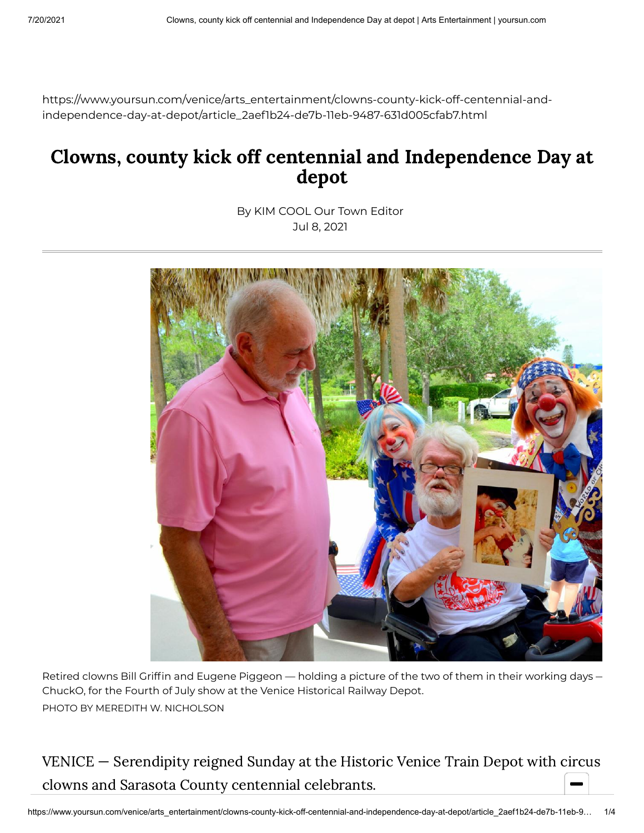https://www.yoursun.com/venice/arts\_entertainment/clowns-county-kick-off-centennial-andindependence-day-at-depot/article\_2aef1b24-de7b-11eb-9487-631d005cfab7.html

## Clowns, county kick off centennial and Independence Day at depot

By KIM COOL Our Town Editor Jul 8, 2021



Retired clowns Bill Griffin and Eugene Piggeon — holding a picture of the two of them in their working days — ChuckO, for the Fourth of July show at the Venice Historical Railway Depot. PHOTO BY MEREDITH W. NICHOLSON

VENICE — Serendipity reigned Sunday at the Historic Venice Train Depot with circus clowns and Sarasota County centennial celebrants.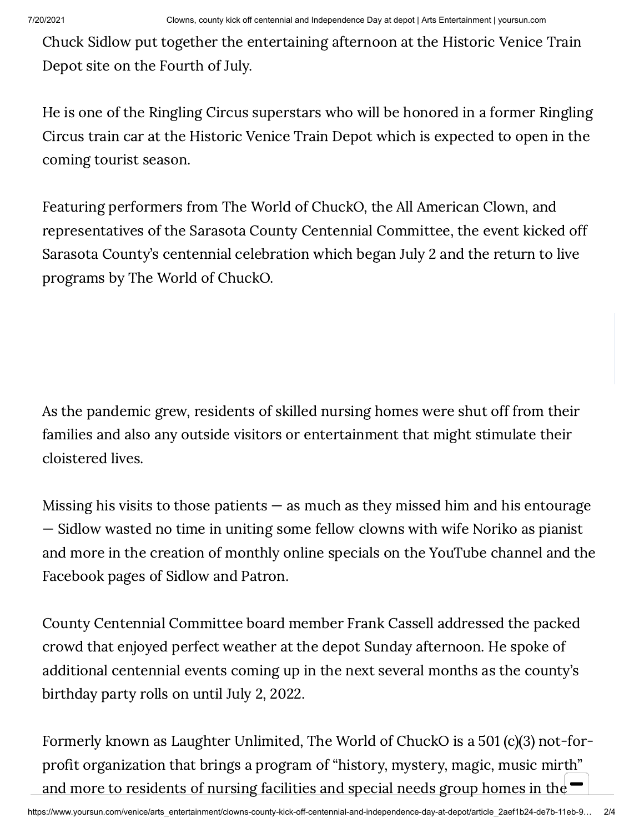Chuck Sidlow put together the entertaining afternoon at the Historic Venice Train Depot site on the Fourth of July.

He is one of the Ringling Circus superstars who will be honored in a former Ringling Circus train car at the Historic Venice Train Depot which is expected to open in the coming tourist season.

Featuring performers from The World of ChuckO, the All American Clown, and representatives of the Sarasota County Centennial Committee, the event kicked off Sarasota County's centennial celebration which began July 2 and the return to live programs by The World of ChuckO.

As the pandemic grew, residents of skilled nursing homes were shut off from their families and also any outside visitors or entertainment that might stimulate their cloistered lives.

Missing his visits to those patients  $-$  as much as they missed him and his entourage — Sidlow wasted no time in uniting some fellow clowns with wife Noriko as pianist and more in the creation of monthly online specials on the YouTube channel and the Facebook pages of Sidlow and Patron.

County Centennial Committee board member Frank Cassell addressed the packed crowd that enjoyed perfect weather at the depot Sunday afternoon. He spoke of additional centennial events coming up in the next several months as the county's birthday party rolls on until July 2, 2022.

Formerly known as Laughter Unlimited, The World of ChuckO is a 501 (c)(3) not-forprofit organization that brings a program of "history, mystery, magic, music mirth" and more to residents of nursing facilities and special needs group homes in the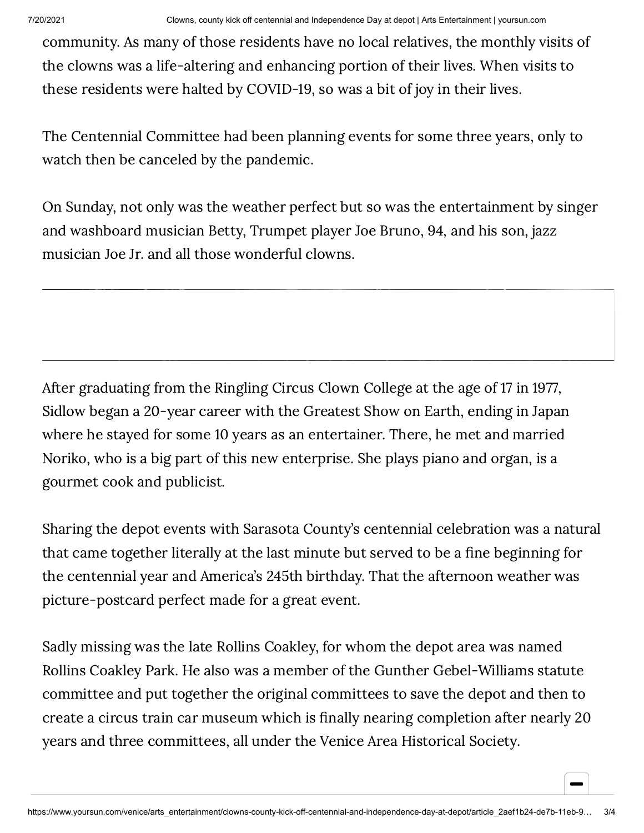community. As many of those residents have no local relatives, the monthly visits of the clowns was a life-altering and enhancing portion of their lives. When visits to these residents were halted by COVID-19, so was a bit of joy in their lives.

The Centennial Committee had been planning events for some three years, only to watch then be canceled by the pandemic.

On Sunday, not only was the weather perfect but so was the entertainment by singer and washboard musician Betty, Trumpet player Joe Bruno, 94, and his son, jazz musician Joe Jr. and all those wonderful clowns.

After graduating from the Ringling Circus Clown College at the age of 17 in 1977, Sidlow began a 20-year career with the Greatest Show on Earth, ending in Japan where he stayed for some 10 years as an entertainer. There, he met and married Noriko, who is a big part of this new enterprise. She plays piano and organ, is a gourmet cook and publicist.

Sharing the depot events with Sarasota County's centennial celebration was a natural that came together literally at the last minute but served to be a fine beginning for the centennial year and America's 245th birthday. That the afternoon weather was picture-postcard perfect made for a great event.

Sadly missing was the late Rollins Coakley, for whom the depot area was named Rollins Coakley Park. He also was a member of the Gunther Gebel-Williams statute committee and put together the original committees to save the depot and then to create a circus train car museum which is finally nearing completion after nearly 20 years and three committees, all under the Venice Area Historical Society.